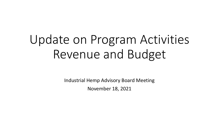# Update on Program Activities Revenue and Budget

Industrial Hemp Advisory Board Meeting November 18, 2021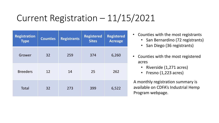## Current Registration – 11/15/2021

| <b>Registration</b><br><b>Type</b> | <b>Counties</b> | <b>Registered</b><br><b>Registrants</b><br><b>Sites</b> |     | <b>Registered</b><br><b>Acreage</b> |
|------------------------------------|-----------------|---------------------------------------------------------|-----|-------------------------------------|
| Grower                             | 32              | 259                                                     | 374 | 6,260                               |
| <b>Breeders</b>                    | 12              | 14                                                      | 25  | 262                                 |
| Total                              | 32              | 273                                                     | 399 | 6,522                               |

- Counties with the most registrants
	- San Bernardino (72 registrants)
	- San Diego (36 registrants)
- Counties with the most registered acres
	- Riverside (1,271 acres)
	- Fresno (1,223 acres)

A monthly registration summary is available on CDFA's Industrial Hemp Program webpage.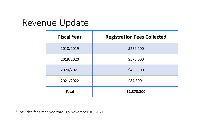#### Revenue Update

| <b>Fiscal Year</b> | <b>Registration Fees Collected</b> |  |  |
|--------------------|------------------------------------|--|--|
| 2018/2019          | \$259,200                          |  |  |
| 2019/2020          | \$576,000                          |  |  |
| 2020/2021          | \$456,300                          |  |  |
| 2021/2022          | $$87,300*$                         |  |  |
| <b>Total</b>       | \$1,373,300                        |  |  |

\* Includes fees received through November 10, 2021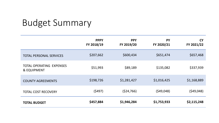### Budget Summary

|                                                           | <b>PPPY</b><br>FY 2018/19 | <b>PPY</b><br>FY 2019/20 | <b>PY</b><br>FY 2020/21 | <b>CY</b><br>FY 2021/22 |
|-----------------------------------------------------------|---------------------------|--------------------------|-------------------------|-------------------------|
| <b>TOTAL PERSONAL SERVICES</b>                            | \$207,662                 | \$600,434                | \$651,474               | \$657,468               |
| <b>TOTAL OPERATING EXPENSES</b><br><b>&amp; EQUIPMENT</b> | \$51,993                  | \$89,189                 | \$135,082               | \$337,939               |
| <b>COUNTY AGREEMENTS</b>                                  | \$198,726                 | \$1,281,427              | \$1,016,425             | \$1,168,889             |
| <b>TOTAL COST RECOVERY</b>                                | (5497)                    | (524, 766)               | (549,048)               | (549,048)               |
| <b>TOTAL BUDGET</b>                                       | \$457,884                 | \$1,946,284              | \$1,753,933             | \$2,115,248             |